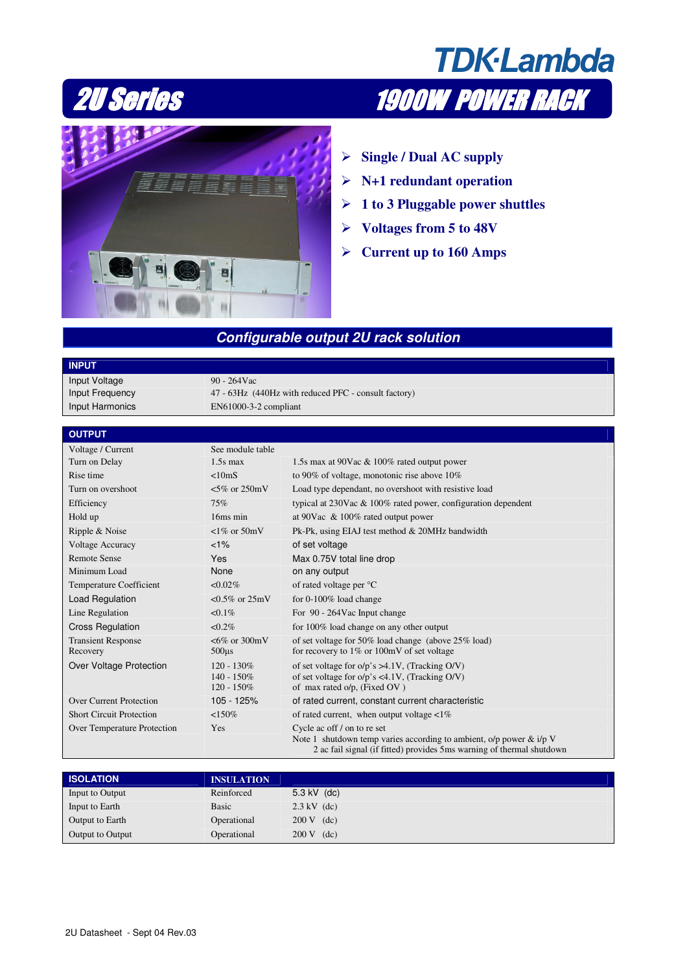





- **Single / Dual AC supply**
- **N+1 redundant operation**
- **1 to 3 Pluggable power shuttles**
- **Voltages from 5 to 48V**
- **Current up to 160 Amps**

## **Configurable output 2U rack solution**

## **INPUT**

Input Voltage 90 - 264Vac Input Harmonics EN61000-3-2 compliant

Input Frequency 47 - 63Hz (440Hz with reduced PFC - consult factory)

## **OUTPUT**

| Voltage / Current                     | See module table                                |                                                                                                                                                   |
|---------------------------------------|-------------------------------------------------|---------------------------------------------------------------------------------------------------------------------------------------------------|
| Turn on Delay                         | $1.5s$ max                                      | 1.5s max at 90Vac & 100% rated output power                                                                                                       |
| Rise time                             | <10 <sub>m</sub> S                              | to 90% of voltage, monotonic rise above $10\%$                                                                                                    |
| Turn on overshoot                     | $<5\%$ or 250mV                                 | Load type dependant, no overshoot with resistive load                                                                                             |
| Efficiency                            | 75%                                             | typical at $230$ Vac & $100\%$ rated power, configuration dependent                                                                               |
| Hold up                               | 16ms min                                        | at 90Vac $\&$ 100% rated output power                                                                                                             |
| Ripple & Noise                        | $\langle 1\% \text{ or } 50 \text{mV} \rangle$  | Pk-Pk, using EIAJ test method & 20MHz bandwidth                                                                                                   |
| <b>Voltage Accuracy</b>               | $1\%$                                           | of set voltage                                                                                                                                    |
| <b>Remote Sense</b>                   | <b>Yes</b>                                      | Max 0.75V total line drop                                                                                                                         |
| Minimum Load                          | None                                            | on any output                                                                                                                                     |
| Temperature Coefficient               | $< 0.02\%$                                      | of rated voltage per °C                                                                                                                           |
| Load Regulation                       | $< 0.5\%$ or $25mV$                             | for 0-100% load change                                                                                                                            |
| Line Regulation                       | $< 0.1\%$                                       | For 90 - 264Vac Input change                                                                                                                      |
| <b>Cross Regulation</b>               | $< 0.2\%$                                       | for 100% load change on any other output                                                                                                          |
| <b>Transient Response</b><br>Recovery | $<6\%$ or 300mV<br>$500\mu s$                   | of set voltage for 50% load change (above 25% load)<br>for recovery to $1\%$ or $100mV$ of set voltage                                            |
| Over Voltage Protection               | $120 - 130\%$<br>$140 - 150\%$<br>$120 - 150\%$ | of set voltage for $o/p$ 's >4.1V, (Tracking O/V)<br>of set voltage for $o/p$ 's <4.1V, (Tracking O/V)<br>of max rated o/p, (Fixed OV)            |
| <b>Over Current Protection</b>        | 105 - 125%                                      | of rated current, constant current characteristic                                                                                                 |
| <b>Short Circuit Protection</b>       | <150%                                           | of rated current, when output voltage $\langle 1\%$                                                                                               |
| Over Temperature Protection           | Yes                                             | Cycle ac off / on to re set                                                                                                                       |
|                                       |                                                 | Note 1 shutdown temp varies according to ambient, $o/p$ power & $i/p$ V<br>2 ac fail signal (if fitted) provides 5 ms warning of thermal shutdown |

| <b>ISOLATION</b> | <b>INSULATION</b> |                       |
|------------------|-------------------|-----------------------|
| Input to Output  | Reinforced        | 5.3 kV $(dc)$         |
| Input to Earth   | Basic             | $2.3 \text{ kV}$ (dc) |
| Output to Earth  | Operational       | $200 \text{ V}$ (dc)  |
| Output to Output | Operational       | $200 \text{ V}$ (dc)  |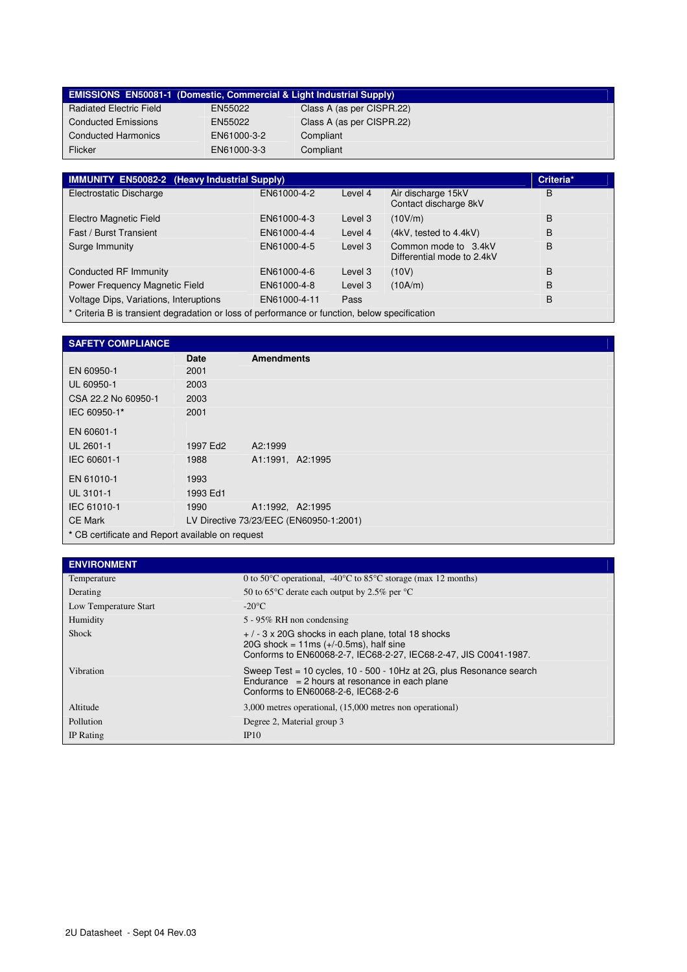|                                | <b>EMISSIONS EN50081-1 (Domestic, Commercial &amp; Light Industrial Supply)</b> |                           |
|--------------------------------|---------------------------------------------------------------------------------|---------------------------|
| <b>Radiated Electric Field</b> | EN55022                                                                         | Class A (as per CISPR.22) |
| <b>Conducted Emissions</b>     | EN55022                                                                         | Class A (as per CISPR.22) |
| <b>Conducted Harmonics</b>     | EN61000-3-2                                                                     | Compliant                 |
| Flicker                        | EN61000-3-3                                                                     | Compliant                 |

| <b>IMMUNITY EN50082-2 (Heavy Industrial Supply)</b>                                           |              |         |                                                    |   |  |
|-----------------------------------------------------------------------------------------------|--------------|---------|----------------------------------------------------|---|--|
| Electrostatic Discharge                                                                       | EN61000-4-2  | Level 4 | Air discharge 15kV<br>Contact discharge 8kV        | B |  |
| Electro Magnetic Field                                                                        | EN61000-4-3  | Level 3 | (10V/m)                                            | B |  |
| Fast / Burst Transient                                                                        | EN61000-4-4  | Level 4 | (4kV, tested to 4.4kV)                             | B |  |
| Surge Immunity                                                                                | EN61000-4-5  | Level 3 | Common mode to 3.4kV<br>Differential mode to 2.4kV | B |  |
| Conducted RF Immunity                                                                         | EN61000-4-6  | Level 3 | (10V)                                              | B |  |
| Power Frequency Magnetic Field                                                                | EN61000-4-8  | Level 3 | (10A/m)                                            | B |  |
| Voltage Dips, Variations, Interuptions                                                        | EN61000-4-11 | Pass    |                                                    | B |  |
| * Criteria B is transient degradation or loss of performance or function, below specification |              |         |                                                    |   |  |

| <b>SAFETY COMPLIANCE</b>                         |                                         |                   |  |
|--------------------------------------------------|-----------------------------------------|-------------------|--|
|                                                  | <b>Date</b>                             | <b>Amendments</b> |  |
| EN 60950-1                                       | 2001                                    |                   |  |
| UL 60950-1                                       | 2003                                    |                   |  |
| CSA 22.2 No 60950-1                              | 2003                                    |                   |  |
| IEC 60950-1*                                     | 2001                                    |                   |  |
| EN 60601-1                                       |                                         |                   |  |
| UL 2601-1                                        | 1997 Ed2                                | A2:1999           |  |
| IEC 60601-1                                      | 1988                                    | A1:1991, A2:1995  |  |
| EN 61010-1                                       | 1993                                    |                   |  |
| UL 3101-1                                        | 1993 Ed1                                |                   |  |
| IEC 61010-1                                      | 1990                                    | A1:1992, A2:1995  |  |
| <b>CE Mark</b>                                   | LV Directive 73/23/EEC (EN60950-1:2001) |                   |  |
| * CB certificate and Report available on request |                                         |                   |  |

| <b>ENVIRONMENT</b>    |                                                                                                                                                                        |  |  |  |
|-----------------------|------------------------------------------------------------------------------------------------------------------------------------------------------------------------|--|--|--|
| Temperature           | 0 to 50 °C operational, -40 °C to 85 °C storage (max 12 months)                                                                                                        |  |  |  |
| Derating              | 50 to 65 $\degree$ C derate each output by 2.5% per $\degree$ C                                                                                                        |  |  |  |
| Low Temperature Start | $-20^{\circ}$ C                                                                                                                                                        |  |  |  |
| Humidity              | 5 - 95% RH non condensing                                                                                                                                              |  |  |  |
| Shock                 | $+$ / - 3 x 20G shocks in each plane, total 18 shocks<br>20G shock = $11ms (+/-0.5ms)$ , half sine<br>Conforms to EN60068-2-7, IEC68-2-27, IEC68-2-47, JIS C0041-1987. |  |  |  |
| Vibration             | Sweep Test = 10 cycles, 10 - 500 - 10Hz at 2G, plus Resonance search<br>Endurance $= 2$ hours at resonance in each plane<br>Conforms to EN60068-2-6, IEC68-2-6         |  |  |  |
| Altitude              | 3,000 metres operational, (15,000 metres non operational)                                                                                                              |  |  |  |
| Pollution             | Degree 2, Material group 3                                                                                                                                             |  |  |  |
| IP Rating             | IP10                                                                                                                                                                   |  |  |  |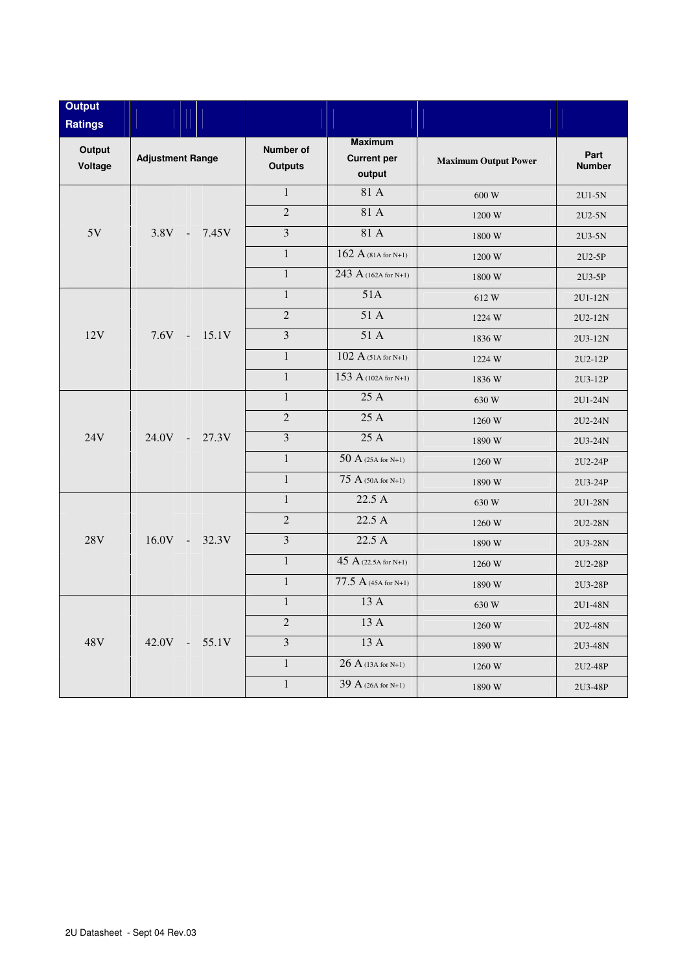| <b>Output</b><br><b>Ratings</b> |                         |                                    |                                                |                             |                       |
|---------------------------------|-------------------------|------------------------------------|------------------------------------------------|-----------------------------|-----------------------|
| Output<br>Voltage               | <b>Adjustment Range</b> | <b>Number of</b><br><b>Outputs</b> | <b>Maximum</b><br><b>Current per</b><br>output | <b>Maximum Output Power</b> | Part<br><b>Number</b> |
|                                 |                         | $\mathbf{1}$                       | 81 A                                           | 600 W                       | 2U1-5N                |
|                                 |                         | $\overline{2}$                     | 81 A                                           | 1200 W                      | 2U2-5N                |
| 5V                              | $3.8V -$<br>7.45V       | $\overline{3}$                     | 81 A                                           | 1800 W                      | 2U3-5N                |
|                                 |                         | $\overline{1}$                     | $162 A$ (81A for N+1)                          | 1200 W                      | 2U2-5P                |
|                                 |                         | $\mathbf{1}$                       | 243 A (162A for N+1)                           | $1800\ \rm{W}$              | 2U3-5P                |
|                                 |                         | $\overline{1}$                     | 51A                                            | 612W                        | 2U1-12N               |
|                                 |                         | $\overline{2}$                     | 51 A                                           | 1224 W                      | 2U2-12N               |
| 12V                             | $7.6V - 15.1V$          | $\overline{3}$                     | 51A                                            | 1836 W                      | 2U3-12N               |
|                                 |                         | $\mathbf{1}$                       | $102 A$ (51A for N+1)                          | 1224 W                      | 2U2-12P               |
|                                 |                         | $\mathbf{1}$                       | 153 A (102A for N+1)                           | 1836 W                      | 2U3-12P               |
|                                 |                         | $\mathbf{1}$                       | 25 A                                           | 630 W                       | 2U1-24N               |
| 24V                             |                         | $\overline{2}$                     | 25A                                            | 1260 W                      | 2U2-24N               |
|                                 | $24.0V -$<br>27.3V      | $\overline{\mathbf{3}}$            | 25 A                                           | 1890 W                      | 2U3-24N               |
|                                 |                         | $\mathbf{1}$                       | $50A(25A for N+1)$                             | 1260 W                      | 2U2-24P               |
|                                 |                         | $\mathbf{1}$                       | $75 A$ (50A for N+1)                           | 1890 W                      | 2U3-24P               |
| 28V                             |                         | $\mathbf{1}$                       | 22.5 A                                         | 630 W                       | 2U1-28N               |
|                                 |                         | $\overline{2}$                     | 22.5A                                          | 1260 W                      | 2U2-28N               |
|                                 | $16.0V - 32.3V$         | $\overline{3}$                     | $22.5\overline{A}$                             | 1890 W                      | 2U3-28N               |
|                                 |                         | $\mathbf{1}$                       | $\overline{45}$ A (22.5A for N+1)              | 1260 W                      | 2U2-28P               |
|                                 |                         | $\mathbf{1}$                       | $77.5 A$ (45A for N+1)                         | 1890 W                      | 2U3-28P               |
| 48V                             |                         | $\mathbf{1}$                       | 13 A                                           | 630 W                       | 2U1-48N               |
|                                 |                         | $\overline{2}$                     | 13 A                                           | 1260 W                      | 2U2-48N               |
|                                 | $42.0V -$<br>55.1V      | $\overline{3}$                     | 13A                                            | 1890W                       | 2U3-48N               |
|                                 |                         | $\mathbf{1}$                       | $26A(13A for N+1)$                             | 1260 W                      | 2U2-48P               |
|                                 |                         | $\mathbf{1}$                       | 39 A (26A for N+1)                             | 1890 W                      | 2U3-48P               |